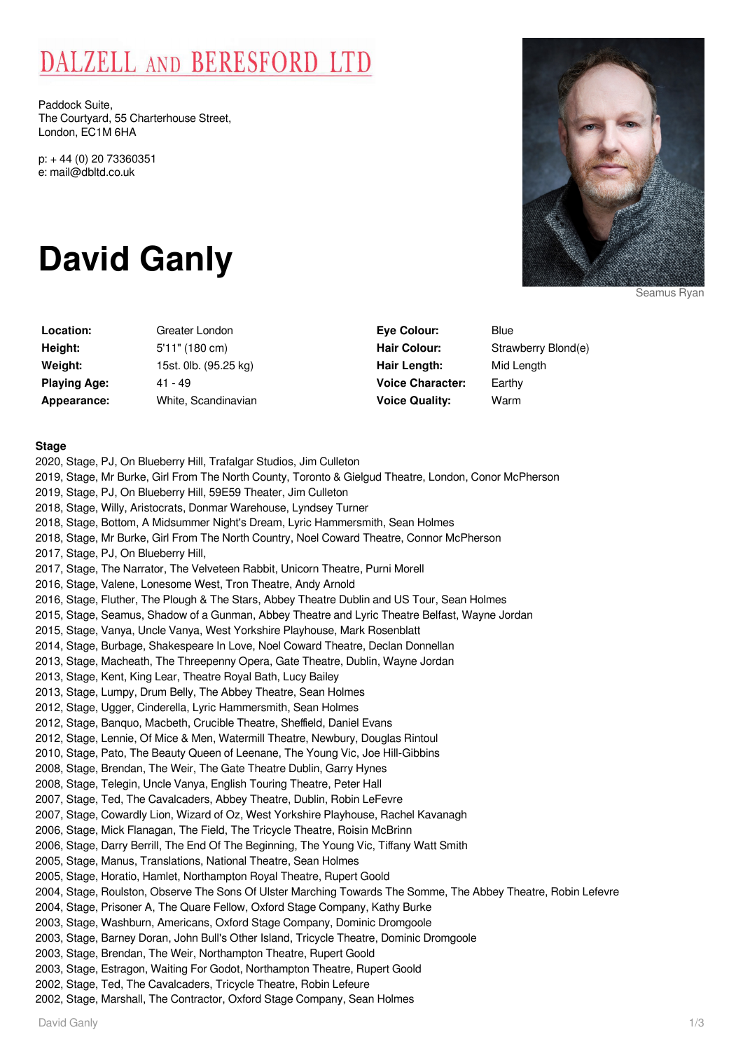# DALZELL AND BERESFORD LTD

Paddock Suite, The Courtyard, 55 Charterhouse Street, London, EC1M 6HA

p: + 44 (0) 20 73360351 e: mail@dbltd.co.uk

# **David Ganly**

**Location:** Greater London **Height:** 5'11" (180 cm) **Weight:** 15st. 0lb. (95.25 kg) **Playing Age:** 41 - 49 **Appearance:** White, Scandinavian

| <b>Eye Colour:</b>      | Blue                |
|-------------------------|---------------------|
| Hair Colour:            | Strawberry Blond(e) |
| Hair Length:            | Mid Length          |
| <b>Voice Character:</b> | Earthy              |
| <b>Voice Quality:</b>   | Warm                |

# **Stage**

2020, Stage, PJ, On Blueberry Hill, Trafalgar Studios, Jim Culleton 2019, Stage, Mr Burke, Girl From The North County, Toronto & Gielgud Theatre, London, Conor McPherson 2019, Stage, PJ, On Blueberry Hill, 59E59 Theater, Jim Culleton 2018, Stage, Willy, Aristocrats, Donmar Warehouse, Lyndsey Turner 2018, Stage, Bottom, A Midsummer Night's Dream, Lyric Hammersmith, Sean Holmes 2018, Stage, Mr Burke, Girl From The North Country, Noel Coward Theatre, Connor McPherson 2017, Stage, PJ, On Blueberry Hill, 2017, Stage, The Narrator, The Velveteen Rabbit, Unicorn Theatre, Purni Morell 2016, Stage, Valene, Lonesome West, Tron Theatre, Andy Arnold 2016, Stage, Fluther, The Plough & The Stars, Abbey Theatre Dublin and US Tour, Sean Holmes 2015, Stage, Seamus, Shadow of a Gunman, Abbey Theatre and Lyric Theatre Belfast, Wayne Jordan 2015, Stage, Vanya, Uncle Vanya, West Yorkshire Playhouse, Mark Rosenblatt 2014, Stage, Burbage, Shakespeare In Love, Noel Coward Theatre, Declan Donnellan 2013, Stage, Macheath, The Threepenny Opera, Gate Theatre, Dublin, Wayne Jordan 2013, Stage, Kent, King Lear, Theatre Royal Bath, Lucy Bailey 2013, Stage, Lumpy, Drum Belly, The Abbey Theatre, Sean Holmes 2012, Stage, Ugger, Cinderella, Lyric Hammersmith, Sean Holmes 2012, Stage, Banquo, Macbeth, Crucible Theatre, Sheffield, Daniel Evans 2012, Stage, Lennie, Of Mice & Men, Watermill Theatre, Newbury, Douglas Rintoul 2010, Stage, Pato, The Beauty Queen of Leenane, The Young Vic, Joe Hill-Gibbins 2008, Stage, Brendan, The Weir, The Gate Theatre Dublin, Garry Hynes 2008, Stage, Telegin, Uncle Vanya, English Touring Theatre, Peter Hall 2007, Stage, Ted, The Cavalcaders, Abbey Theatre, Dublin, Robin LeFevre 2007, Stage, Cowardly Lion, Wizard of Oz, West Yorkshire Playhouse, Rachel Kavanagh 2006, Stage, Mick Flanagan, The Field, The Tricycle Theatre, Roisin McBrinn 2006, Stage, Darry Berrill, The End Of The Beginning, The Young Vic, Tiffany Watt Smith 2005, Stage, Manus, Translations, National Theatre, Sean Holmes 2005, Stage, Horatio, Hamlet, Northampton Royal Theatre, Rupert Goold 2004, Stage, Roulston, Observe The Sons Of Ulster Marching Towards The Somme, The Abbey Theatre, Robin Lefevre 2004, Stage, Prisoner A, The Quare Fellow, Oxford Stage Company, Kathy Burke 2003, Stage, Washburn, Americans, Oxford Stage Company, Dominic Dromgoole 2003, Stage, Barney Doran, John Bull's Other Island, Tricycle Theatre, Dominic Dromgoole 2003, Stage, Brendan, The Weir, Northampton Theatre, Rupert Goold 2003, Stage, Estragon, Waiting For Godot, Northampton Theatre, Rupert Goold 2002, Stage, Ted, The Cavalcaders, Tricycle Theatre, Robin Lefeure 2002, Stage, Marshall, The Contractor, Oxford Stage Company, Sean Holmes



Seamus Ryan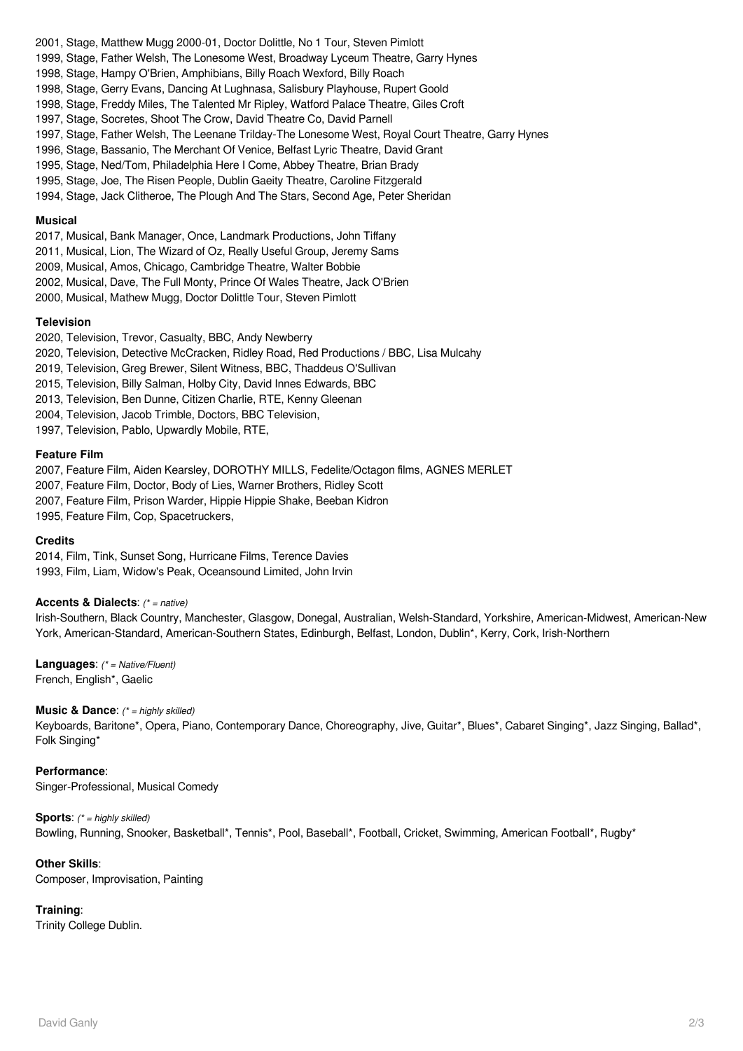- 2001, Stage, Matthew Mugg 2000-01, Doctor Dolittle, No 1 Tour, Steven Pimlott
- 1999, Stage, Father Welsh, The Lonesome West, Broadway Lyceum Theatre, Garry Hynes
- 1998, Stage, Hampy O'Brien, Amphibians, Billy Roach Wexford, Billy Roach
- 1998, Stage, Gerry Evans, Dancing At Lughnasa, Salisbury Playhouse, Rupert Goold
- 1998, Stage, Freddy Miles, The Talented Mr Ripley, Watford Palace Theatre, Giles Croft
- 1997, Stage, Socretes, Shoot The Crow, David Theatre Co, David Parnell
- 1997, Stage, Father Welsh, The Leenane Trilday-The Lonesome West, Royal Court Theatre, Garry Hynes
- 1996, Stage, Bassanio, The Merchant Of Venice, Belfast Lyric Theatre, David Grant
- 1995, Stage, Ned/Tom, Philadelphia Here I Come, Abbey Theatre, Brian Brady
- 1995, Stage, Joe, The Risen People, Dublin Gaeity Theatre, Caroline Fitzgerald
- 1994, Stage, Jack Clitheroe, The Plough And The Stars, Second Age, Peter Sheridan

#### **Musical**

- 2017, Musical, Bank Manager, Once, Landmark Productions, John Tiffany
- 2011, Musical, Lion, The Wizard of Oz, Really Useful Group, Jeremy Sams
- 2009, Musical, Amos, Chicago, Cambridge Theatre, Walter Bobbie
- 2002, Musical, Dave, The Full Monty, Prince Of Wales Theatre, Jack O'Brien
- 2000, Musical, Mathew Mugg, Doctor Dolittle Tour, Steven Pimlott

# **Television**

- 2020, Television, Trevor, Casualty, BBC, Andy Newberry
- 2020, Television, Detective McCracken, Ridley Road, Red Productions / BBC, Lisa Mulcahy
- 2019, Television, Greg Brewer, Silent Witness, BBC, Thaddeus O'Sullivan
- 2015, Television, Billy Salman, Holby City, David Innes Edwards, BBC
- 2013, Television, Ben Dunne, Citizen Charlie, RTE, Kenny Gleenan
- 2004, Television, Jacob Trimble, Doctors, BBC Television,
- 1997, Television, Pablo, Upwardly Mobile, RTE,

#### **Feature Film**

2007, Feature Film, Aiden Kearsley, DOROTHY MILLS, Fedelite/Octagon films, AGNES MERLET 2007, Feature Film, Doctor, Body of Lies, Warner Brothers, Ridley Scott 2007, Feature Film, Prison Warder, Hippie Hippie Shake, Beeban Kidron

1995, Feature Film, Cop, Spacetruckers,

# **Credits**

2014, Film, Tink, Sunset Song, Hurricane Films, Terence Davies 1993, Film, Liam, Widow's Peak, Oceansound Limited, John Irvin

#### **Accents & Dialects**: (\* = native)

Irish-Southern, Black Country, Manchester, Glasgow, Donegal, Australian, Welsh-Standard, Yorkshire, American-Midwest, American-New York, American-Standard, American-Southern States, Edinburgh, Belfast, London, Dublin\*, Kerry, Cork, Irish-Northern

**Languages**: (\* = Native/Fluent) French, English\*, Gaelic

# **Music & Dance:** (\* = highly skilled)

Keyboards, Baritone\*, Opera, Piano, Contemporary Dance, Choreography, Jive, Guitar\*, Blues\*, Cabaret Singing\*, Jazz Singing, Ballad\*, Folk Singing\*

#### **Performance**:

Singer-Professional, Musical Comedy

# **Sports:** (\* = highly skilled)

Bowling, Running, Snooker, Basketball\*, Tennis\*, Pool, Baseball\*, Football, Cricket, Swimming, American Football\*, Rugby\*

# **Other Skills**:

Composer, Improvisation, Painting

# **Training**:

Trinity College Dublin.